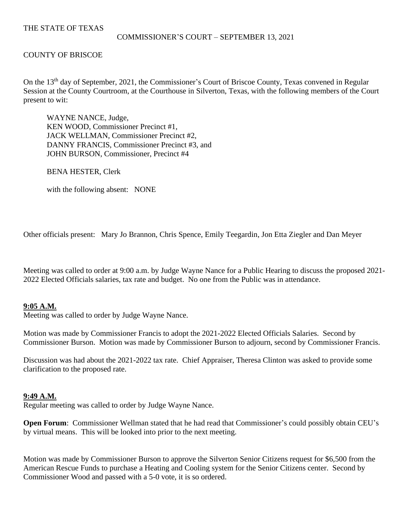# THE STATE OF TEXAS

### COMMISSIONER'S COURT – SEPTEMBER 13, 2021

# COUNTY OF BRISCOE

On the 13<sup>th</sup> day of September, 2021, the Commissioner's Court of Briscoe County, Texas convened in Regular Session at the County Courtroom, at the Courthouse in Silverton, Texas, with the following members of the Court present to wit:

WAYNE NANCE, Judge, KEN WOOD, Commissioner Precinct #1, JACK WELLMAN, Commissioner Precinct #2, DANNY FRANCIS, Commissioner Precinct #3, and JOHN BURSON, Commissioner, Precinct #4

BENA HESTER, Clerk

with the following absent: NONE

Other officials present: Mary Jo Brannon, Chris Spence, Emily Teegardin, Jon Etta Ziegler and Dan Meyer

Meeting was called to order at 9:00 a.m. by Judge Wayne Nance for a Public Hearing to discuss the proposed 2021- 2022 Elected Officials salaries, tax rate and budget. No one from the Public was in attendance.

# **9:05 A.M.**

Meeting was called to order by Judge Wayne Nance.

Motion was made by Commissioner Francis to adopt the 2021-2022 Elected Officials Salaries. Second by Commissioner Burson. Motion was made by Commissioner Burson to adjourn, second by Commissioner Francis.

Discussion was had about the 2021-2022 tax rate. Chief Appraiser, Theresa Clinton was asked to provide some clarification to the proposed rate.

### **9:49 A.M.**

Regular meeting was called to order by Judge Wayne Nance.

**Open Forum:** Commissioner Wellman stated that he had read that Commissioner's could possibly obtain CEU's by virtual means. This will be looked into prior to the next meeting.

Motion was made by Commissioner Burson to approve the Silverton Senior Citizens request for \$6,500 from the American Rescue Funds to purchase a Heating and Cooling system for the Senior Citizens center. Second by Commissioner Wood and passed with a 5-0 vote, it is so ordered.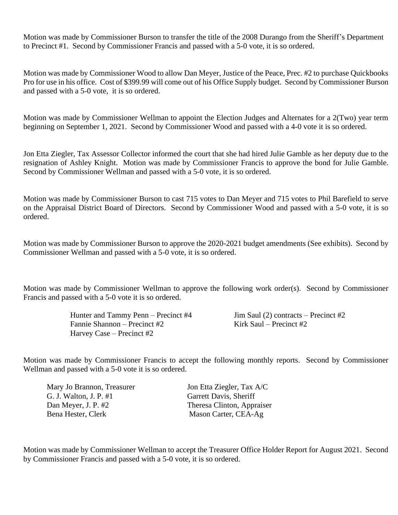Motion was made by Commissioner Burson to transfer the title of the 2008 Durango from the Sheriff's Department to Precinct #1. Second by Commissioner Francis and passed with a 5-0 vote, it is so ordered.

Motion was made by Commissioner Wood to allow Dan Meyer, Justice of the Peace, Prec. #2 to purchase Quickbooks Pro for use in his office. Cost of \$399.99 will come out of his Office Supply budget. Second by Commissioner Burson and passed with a 5-0 vote, it is so ordered.

Motion was made by Commissioner Wellman to appoint the Election Judges and Alternates for a 2(Two) year term beginning on September 1, 2021. Second by Commissioner Wood and passed with a 4-0 vote it is so ordered.

Jon Etta Ziegler, Tax Assessor Collector informed the court that she had hired Julie Gamble as her deputy due to the resignation of Ashley Knight. Motion was made by Commissioner Francis to approve the bond for Julie Gamble. Second by Commissioner Wellman and passed with a 5-0 vote, it is so ordered.

Motion was made by Commissioner Burson to cast 715 votes to Dan Meyer and 715 votes to Phil Barefield to serve on the Appraisal District Board of Directors. Second by Commissioner Wood and passed with a 5-0 vote, it is so ordered.

Motion was made by Commissioner Burson to approve the 2020-2021 budget amendments (See exhibits). Second by Commissioner Wellman and passed with a 5-0 vote, it is so ordered.

Motion was made by Commissioner Wellman to approve the following work order(s). Second by Commissioner Francis and passed with a 5-0 vote it is so ordered.

> Hunter and Tammy Penn – Precinct #4 Jim Saul (2) contracts – Precinct #2 Fannie Shannon – Precinct #2 Kirk Saul – Precinct #2 Harvey Case – Precinct #2

Motion was made by Commissioner Francis to accept the following monthly reports. Second by Commissioner Wellman and passed with a 5-0 vote it is so ordered.

| Mary Jo Brannon, Treasurer |
|----------------------------|
| G. J. Walton, J. P. #1     |
| Dan Meyer, J. P. #2        |
| Bena Hester, Clerk         |

Jon Etta Ziegler, Tax A/C Garrett Davis, Sheriff Theresa Clinton, Appraiser Mason Carter, CEA-Ag

Motion was made by Commissioner Wellman to accept the Treasurer Office Holder Report for August 2021. Second by Commissioner Francis and passed with a 5-0 vote, it is so ordered.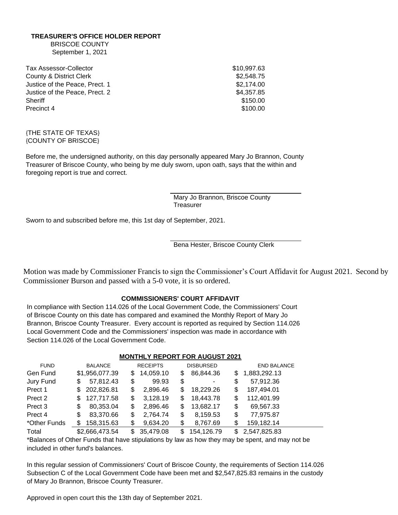### **TREASURER'S OFFICE HOLDER REPORT**

BRISCOE COUNTY September 1, 2021

| \$10,997.63 |
|-------------|
| \$2,548.75  |
| \$2,174.00  |
| \$4,357.85  |
| \$150.00    |
| \$100.00    |
|             |

#### {THE STATE OF TEXAS} {COUNTY OF BRISCOE}

Before me, the undersigned authority, on this day personally appeared Mary Jo Brannon, County Treasurer of Briscoe County, who being by me duly sworn, upon oath, says that the within and foregoing report is true and correct.

> Mary Jo Brannon, Briscoe County **Treasurer**

Sworn to and subscribed before me, this 1st day of September, 2021.

Bena Hester, Briscoe County Clerk

Motion was made by Commissioner Francis to sign the Commissioner's Court Affidavit for August 2021. Second by Commissioner Burson and passed with a 5-0 vote, it is so ordered.

### **COMMISSIONERS' COURT AFFIDAVIT**

In compliance with Section 114.026 of the Local Government Code, the Commissioners' Court of Briscoe County on this date has compared and examined the Monthly Report of Mary Jo Brannon, Briscoe County Treasurer. Every account is reported as required by Section 114.026 Local Government Code and the Commissioners' inspection was made in accordance with Section 114.026 of the Local Government Code.

|                    |                   |     |                 |     | <b>MONTHLINE IN ON LIGHT AUGUST 2021</b> |    |                    |  |
|--------------------|-------------------|-----|-----------------|-----|------------------------------------------|----|--------------------|--|
| <b>FUND</b>        | <b>BALANCE</b>    |     | <b>RECEIPTS</b> |     | <b>DISBURSED</b>                         |    | <b>END BALANCE</b> |  |
| Gen Fund           | \$1,956,077.39    | \$. | 14,059.10       | S   | 86,844.36                                | S. | 1,883,292.13       |  |
| Jury Fund          | 57,812.43<br>\$   | \$  | 99.93           | \$  | -                                        | \$ | 57,912.36          |  |
| Prect 1            | 202,826.81<br>S.  | \$  | 2,896.46        | S   | 18,229.26                                | S  | 187,494.01         |  |
| Prect 2            | 127,717.58<br>\$. | \$  | 3,128.19        | S   | 18,443.78                                | S  | 112,401.99         |  |
| Prect <sub>3</sub> | 80,353.04<br>\$   | \$  | 2,896.46        | S   | 13,682.17                                | \$ | 69,567.33          |  |
| Prect 4            | 83,370.66<br>\$   | \$  | 2,764.74        | \$  | 8,159.53                                 | \$ | 77,975.87          |  |
| *Other Funds       | 158,315.63        | \$  | 9,634.20        | \$  | 8,767.69                                 | S  | 159,182.14         |  |
| Total              | \$2,666,473.54    | S.  | 35,479.08       | \$. | 154,126.79                               |    | \$2,547,825.83     |  |

### **MONTHLY REPORT FOR AUGUST 2021**

\*Balances of Other Funds that have stipulations by law as how they may be spent, and may not be included in other fund's balances.

In this regular session of Commissioners' Court of Briscoe County, the requirements of Section 114.026 Subsection C of the Local Government Code have been met and \$2,547,825.83 remains in the custody of Mary Jo Brannon, Briscoe County Treasurer.

Approved in open court this the 13th day of September 2021.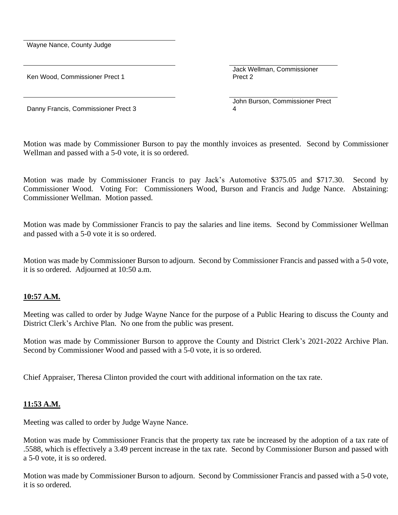Wayne Nance, County Judge

Ken Wood, Commissioner Prect 1

Jack Wellman, Commissioner Prect 2

John Burson, Commissioner Prect 4

Danny Francis, Commissioner Prect 3

Motion was made by Commissioner Burson to pay the monthly invoices as presented. Second by Commissioner Wellman and passed with a 5-0 vote, it is so ordered.

Motion was made by Commissioner Francis to pay Jack's Automotive \$375.05 and \$717.30. Second by Commissioner Wood. Voting For: Commissioners Wood, Burson and Francis and Judge Nance. Abstaining: Commissioner Wellman. Motion passed.

Motion was made by Commissioner Francis to pay the salaries and line items. Second by Commissioner Wellman and passed with a 5-0 vote it is so ordered.

Motion was made by Commissioner Burson to adjourn. Second by Commissioner Francis and passed with a 5-0 vote, it is so ordered. Adjourned at 10:50 a.m.

# **10:57 A.M.**

Meeting was called to order by Judge Wayne Nance for the purpose of a Public Hearing to discuss the County and District Clerk's Archive Plan. No one from the public was present.

Motion was made by Commissioner Burson to approve the County and District Clerk's 2021-2022 Archive Plan. Second by Commissioner Wood and passed with a 5-0 vote, it is so ordered.

Chief Appraiser, Theresa Clinton provided the court with additional information on the tax rate.

# **11:53 A.M.**

Meeting was called to order by Judge Wayne Nance.

Motion was made by Commissioner Francis that the property tax rate be increased by the adoption of a tax rate of .5588, which is effectively a 3.49 percent increase in the tax rate. Second by Commissioner Burson and passed with a 5-0 vote, it is so ordered.

Motion was made by Commissioner Burson to adjourn. Second by Commissioner Francis and passed with a 5-0 vote, it is so ordered.